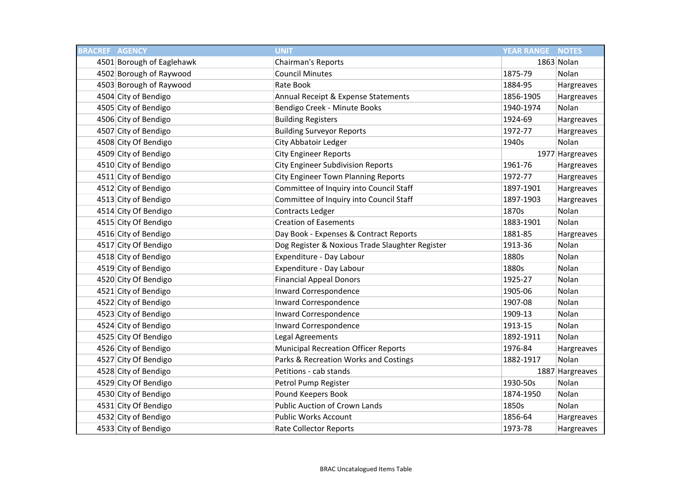| <b>BRACREF AGENCY</b> |                           | <b>UNIT</b>                                     | <b>YEAR RANGE NOTES</b> |                 |
|-----------------------|---------------------------|-------------------------------------------------|-------------------------|-----------------|
|                       | 4501 Borough of Eaglehawk | Chairman's Reports                              | 1863 Nolan              |                 |
|                       | 4502 Borough of Raywood   | <b>Council Minutes</b>                          | 1875-79                 | Nolan           |
|                       | 4503 Borough of Raywood   | Rate Book                                       | 1884-95                 | Hargreaves      |
|                       | 4504 City of Bendigo      | Annual Receipt & Expense Statements             | 1856-1905               | Hargreaves      |
|                       | 4505 City of Bendigo      | Bendigo Creek - Minute Books                    | 1940-1974               | Nolan           |
|                       | 4506 City of Bendigo      | <b>Building Registers</b>                       | 1924-69                 | Hargreaves      |
|                       | 4507 City of Bendigo      | <b>Building Surveyor Reports</b>                | 1972-77                 | Hargreaves      |
|                       | 4508 City Of Bendigo      | <b>City Abbatoir Ledger</b>                     | 1940s                   | Nolan           |
|                       | 4509 City of Bendigo      | <b>City Engineer Reports</b>                    |                         | 1977 Hargreaves |
|                       | 4510 City of Bendigo      | <b>City Engineer Subdivision Reports</b>        | 1961-76                 | Hargreaves      |
|                       | 4511 City of Bendigo      | <b>City Engineer Town Planning Reports</b>      | 1972-77                 | Hargreaves      |
|                       | 4512 City of Bendigo      | Committee of Inquiry into Council Staff         | 1897-1901               | Hargreaves      |
|                       | 4513 City of Bendigo      | Committee of Inquiry into Council Staff         | 1897-1903               | Hargreaves      |
|                       | 4514 City Of Bendigo      | Contracts Ledger                                | 1870s                   | Nolan           |
|                       | 4515 City Of Bendigo      | <b>Creation of Easements</b>                    | 1883-1901               | Nolan           |
|                       | 4516 City of Bendigo      | Day Book - Expenses & Contract Reports          | 1881-85                 | Hargreaves      |
|                       | 4517 City Of Bendigo      | Dog Register & Noxious Trade Slaughter Register | 1913-36                 | Nolan           |
|                       | 4518 City of Bendigo      | Expenditure - Day Labour                        | 1880s                   | Nolan           |
|                       | 4519 City of Bendigo      | Expenditure - Day Labour                        | 1880s                   | Nolan           |
|                       | 4520 City Of Bendigo      | <b>Financial Appeal Donors</b>                  | 1925-27                 | Nolan           |
|                       | 4521 City of Bendigo      | Inward Correspondence                           | 1905-06                 | Nolan           |
|                       | 4522 City of Bendigo      | Inward Correspondence                           | 1907-08                 | Nolan           |
|                       | 4523 City of Bendigo      | Inward Correspondence                           | 1909-13                 | Nolan           |
|                       | 4524 City of Bendigo      | Inward Correspondence                           | 1913-15                 | Nolan           |
|                       | 4525 City Of Bendigo      | Legal Agreements                                | 1892-1911               | Nolan           |
|                       | 4526 City of Bendigo      | <b>Municipal Recreation Officer Reports</b>     | 1976-84                 | Hargreaves      |
|                       | 4527 City Of Bendigo      | Parks & Recreation Works and Costings           | 1882-1917               | Nolan           |
|                       | 4528 City of Bendigo      | Petitions - cab stands                          |                         | 1887 Hargreaves |
|                       | 4529 City Of Bendigo      | Petrol Pump Register                            | 1930-50s                | Nolan           |
|                       | 4530 City of Bendigo      | Pound Keepers Book                              | 1874-1950               | Nolan           |
|                       | 4531 City Of Bendigo      | <b>Public Auction of Crown Lands</b>            | 1850s                   | Nolan           |
|                       | 4532 City of Bendigo      | <b>Public Works Account</b>                     | 1856-64                 | Hargreaves      |
|                       | 4533 City of Bendigo      | <b>Rate Collector Reports</b>                   | 1973-78                 | Hargreaves      |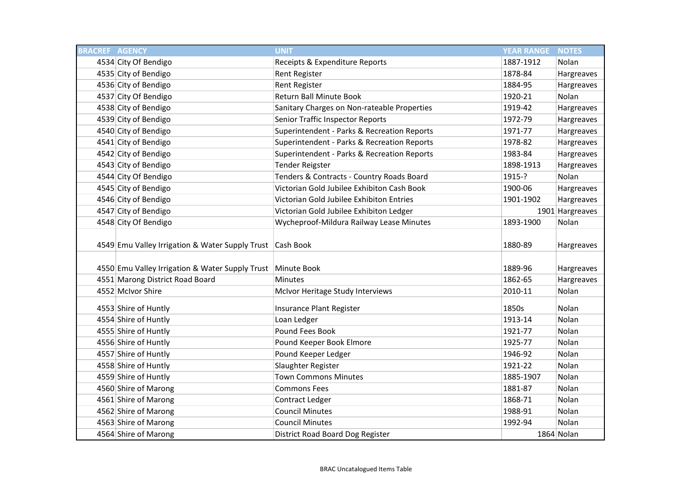| <b>BRACREF AGENCY</b>                                     | <b>UNIT</b>                                 | <b>YEAR RANGE</b> | <b>NOTES</b>    |
|-----------------------------------------------------------|---------------------------------------------|-------------------|-----------------|
| 4534 City Of Bendigo                                      | Receipts & Expenditure Reports              | 1887-1912         | Nolan           |
| 4535 City of Bendigo                                      | Rent Register                               | 1878-84           | Hargreaves      |
| 4536 City of Bendigo                                      | <b>Rent Register</b>                        | 1884-95           | Hargreaves      |
| 4537 City Of Bendigo                                      | Return Ball Minute Book                     | 1920-21           | Nolan           |
| 4538 City of Bendigo                                      | Sanitary Charges on Non-rateable Properties | 1919-42           | Hargreaves      |
| 4539 City of Bendigo                                      | Senior Traffic Inspector Reports            | 1972-79           | Hargreaves      |
| 4540 City of Bendigo                                      | Superintendent - Parks & Recreation Reports | 1971-77           | Hargreaves      |
| 4541 City of Bendigo                                      | Superintendent - Parks & Recreation Reports | 1978-82           | Hargreaves      |
| 4542 City of Bendigo                                      | Superintendent - Parks & Recreation Reports | 1983-84           | Hargreaves      |
| 4543 City of Bendigo                                      | <b>Tender Reigster</b>                      | 1898-1913         | Hargreaves      |
| 4544 City Of Bendigo                                      | Tenders & Contracts - Country Roads Board   | 1915-?            | Nolan           |
| 4545 City of Bendigo                                      | Victorian Gold Jubilee Exhibiton Cash Book  | 1900-06           | Hargreaves      |
| 4546 City of Bendigo                                      | Victorian Gold Jubilee Exhibiton Entries    | 1901-1902         | Hargreaves      |
| 4547 City of Bendigo                                      | Victorian Gold Jubilee Exhibiton Ledger     |                   | 1901 Hargreaves |
| 4548 City Of Bendigo                                      | Wycheproof-Mildura Railway Lease Minutes    | 1893-1900         | Nolan           |
| 4549 Emu Valley Irrigation & Water Supply Trust Cash Book |                                             | 1880-89           | Hargreaves      |
| 4550 Emu Valley Irrigation & Water Supply Trust           | Minute Book                                 | 1889-96           | Hargreaves      |
| 4551 Marong District Road Board                           | <b>Minutes</b>                              | 1862-65           | Hargreaves      |
| 4552 McIvor Shire                                         | McIvor Heritage Study Interviews            | 2010-11           | Nolan           |
| 4553 Shire of Huntly                                      | Insurance Plant Register                    | 1850s             | Nolan           |
| 4554 Shire of Huntly                                      | Loan Ledger                                 | 1913-14           | Nolan           |
| 4555 Shire of Huntly                                      | Pound Fees Book                             | 1921-77           | Nolan           |
| 4556 Shire of Huntly                                      | Pound Keeper Book Elmore                    | 1925-77           | Nolan           |
| 4557 Shire of Huntly                                      | Pound Keeper Ledger                         | 1946-92           | Nolan           |
| 4558 Shire of Huntly                                      | Slaughter Register                          | 1921-22           | Nolan           |
| 4559 Shire of Huntly                                      | <b>Town Commons Minutes</b>                 | 1885-1907         | Nolan           |
| 4560 Shire of Marong                                      | <b>Commons Fees</b>                         | 1881-87           | Nolan           |
| 4561 Shire of Marong                                      | Contract Ledger                             | 1868-71           | Nolan           |
| 4562 Shire of Marong                                      | <b>Council Minutes</b>                      | 1988-91           | Nolan           |
| 4563 Shire of Marong                                      | <b>Council Minutes</b>                      | 1992-94           | Nolan           |
| 4564 Shire of Marong                                      | District Road Board Dog Register            |                   | 1864 Nolan      |